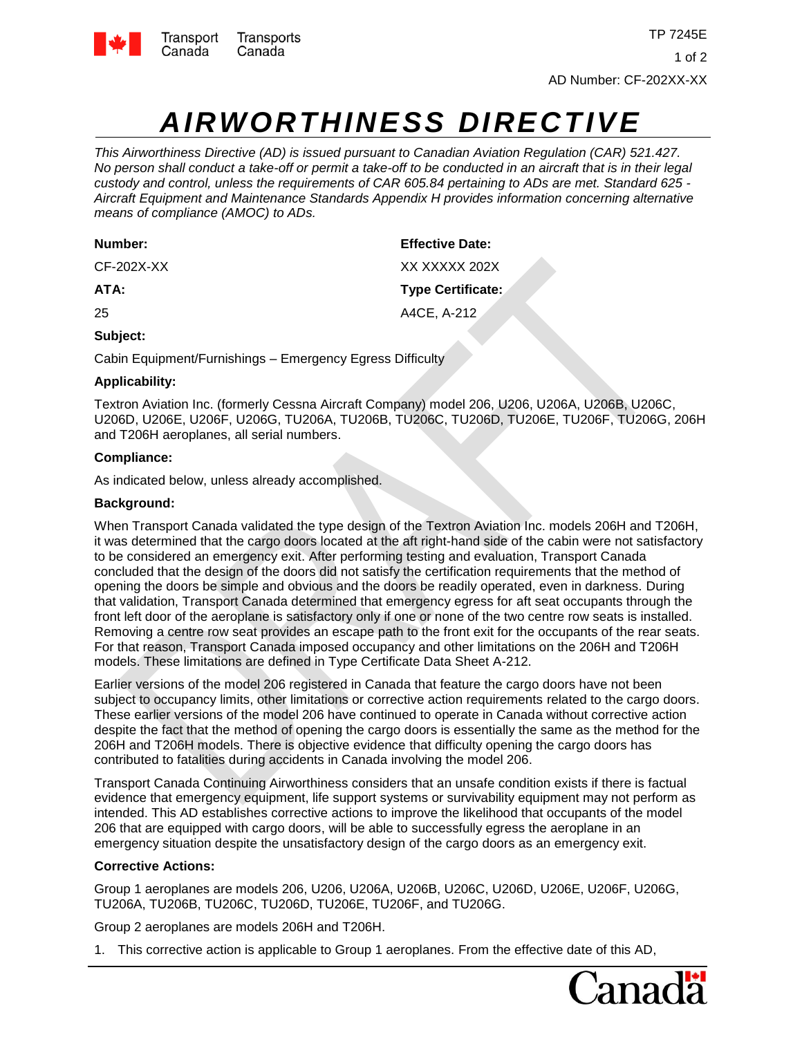

# *AIRWORTHINESS DIRECTIVE*

*This Airworthiness Directive (AD) is issued pursuant to Canadian Aviation Regulation (CAR) 521.427. No person shall conduct a take-off or permit a take-off to be conducted in an aircraft that is in their legal custody and control, unless the requirements of CAR 605.84 pertaining to ADs are met. Standard 625 - Aircraft Equipment and Maintenance Standards Appendix H provides information concerning alternative means of compliance (AMOC) to ADs.*

| Number:      | <b>Effective Date:</b>   |
|--------------|--------------------------|
| $CF-202X-XX$ | XX XXXXX 202X            |
| ATA:         | <b>Type Certificate:</b> |
| 25           | A4CE, A-212              |

# **Subject:**

Cabin Equipment/Furnishings – Emergency Egress Difficulty

# **Applicability:**

Textron Aviation Inc. (formerly Cessna Aircraft Company) model 206, U206, U206A, U206B, U206C, U206D, U206E, U206F, U206G, TU206A, TU206B, TU206C, TU206D, TU206E, TU206F, TU206G, 206H and T206H aeroplanes, all serial numbers.

# **Compliance:**

As indicated below, unless already accomplished.

# **Background:**

When Transport Canada validated the type design of the Textron Aviation Inc. models 206H and T206H, it was determined that the cargo doors located at the aft right-hand side of the cabin were not satisfactory to be considered an emergency exit. After performing testing and evaluation, Transport Canada concluded that the design of the doors did not satisfy the certification requirements that the method of opening the doors be simple and obvious and the doors be readily operated, even in darkness. During that validation, Transport Canada determined that emergency egress for aft seat occupants through the front left door of the aeroplane is satisfactory only if one or none of the two centre row seats is installed. Removing a centre row seat provides an escape path to the front exit for the occupants of the rear seats. For that reason, Transport Canada imposed occupancy and other limitations on the 206H and T206H models. These limitations are defined in Type Certificate Data Sheet A-212.

Earlier versions of the model 206 registered in Canada that feature the cargo doors have not been subject to occupancy limits, other limitations or corrective action requirements related to the cargo doors. These earlier versions of the model 206 have continued to operate in Canada without corrective action despite the fact that the method of opening the cargo doors is essentially the same as the method for the 206H and T206H models. There is objective evidence that difficulty opening the cargo doors has contributed to fatalities during accidents in Canada involving the model 206.

Transport Canada Continuing Airworthiness considers that an unsafe condition exists if there is factual evidence that emergency equipment, life support systems or survivability equipment may not perform as intended. This AD establishes corrective actions to improve the likelihood that occupants of the model 206 that are equipped with cargo doors, will be able to successfully egress the aeroplane in an emergency situation despite the unsatisfactory design of the cargo doors as an emergency exit.

# **Corrective Actions:**

Group 1 aeroplanes are models 206, U206, U206A, U206B, U206C, U206D, U206E, U206F, U206G, TU206A, TU206B, TU206C, TU206D, TU206E, TU206F, and TU206G.

Group 2 aeroplanes are models 206H and T206H.

1. This corrective action is applicable to Group 1 aeroplanes. From the effective date of this AD,